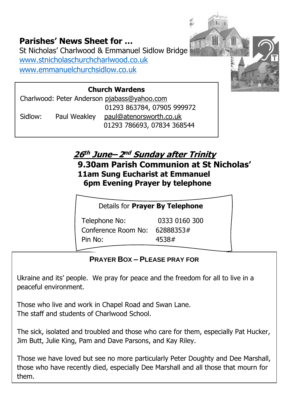#### **Parishes' News Sheet for …**

St Nicholas' Charlwood & Emmanuel Sidlow Bridge [www.stnicholaschurchcharlwood.co.uk](http://www.stnicholaschurchcharlwood.co.uk/) [www.emmanuelchurchsidlow.co.uk](http://www.emmanuelchurchsidlow.co.uk/)

#### **Church Wardens**

Charlwood: Peter Anderson [pjabass@yahoo.com](about:blank) 01293 863784, 07905 999972 Sidlow: Paul Weakley [paul@atenorsworth.co.uk](about:blank) 01293 786693, 07834 368544

### **26 th June– 2 nd Sunday after Trinity**

**9.30am Parish Communion at St Nicholas' 11am Sung Eucharist at Emmanuel 6pm Evening Prayer by telephone**

蕊

Details for **Prayer By Telephone**

Telephone No: 0333 0160 300 Conference Room No: 62888353# Pin No: 4538#

#### **PRAYER BOX – PLEASE PRAY FOR**

Ukraine and its' people. We pray for peace and the freedom for all to live in a peaceful environment.

Those who live and work in Chapel Road and Swan Lane. The staff and students of Charlwood School.

The sick, isolated and troubled and those who care for them, especially Pat Hucker, Jim Butt, Julie King, Pam and Dave Parsons, and Kay Riley.

Those we have loved but see no more particularly Peter Doughty and Dee Marshall, those who have recently died, especially Dee Marshall and all those that mourn for them.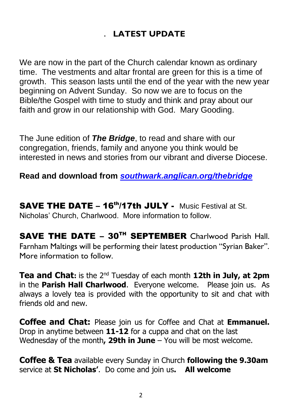#### . **LATEST UPDATE**

We are now in the part of the Church calendar known as ordinary time. The vestments and altar frontal are green for this is a time of growth. This season lasts until the end of the year with the new year beginning on Advent Sunday. So now we are to focus on the Bible/the Gospel with time to study and think and pray about our faith and grow in our relationship with God. Mary Gooding.

The June edition of *The Bridge*, to read and share with our congregation, friends, family and anyone you think would be interested in news and stories from our vibrant and diverse Diocese.

**Read and download from** *[southwark.anglican.org/thebridge](https://southwark.anglican.org/thebridge)*

SAVE THE DATE - 16<sup>th</sup>/17th JULY - Music Festival at St. Nicholas' Church, Charlwood. More information to follow.

SAVE THE DATE – 30TH SEPTEMBER Charlwood Parish Hall. Farnham Maltings will be performing their latest production "Syrian Baker". More information to follow.

**Tea and Chat:** is the 2nd Tuesday of each month **12th in July, at 2pm** in the **Parish Hall Charlwood**. Everyone welcome. Please join us. As always a lovely tea is provided with the opportunity to sit and chat with friends old and new.

**Coffee and Chat:** Please join us for Coffee and Chat at **Emmanuel.** Drop in anytime between **11-12** for a cuppa and chat on the last Wednesday of the month**, 29th in June** – You will be most welcome.

**Coffee & Tea** available every Sunday in Church **following the 9.30am**  service at **St Nicholas'**. Do come and join us**. All welcome**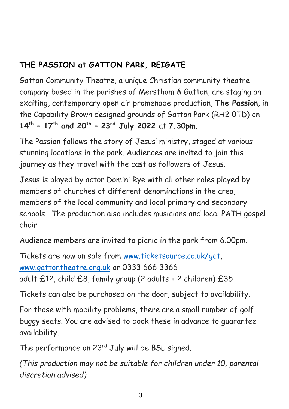#### **THE PASSION at GATTON PARK, REIGATE**

Gatton Community Theatre, a unique Christian community theatre company based in the parishes of Merstham & Gatton, are staging an exciting, contemporary open air promenade production, **The Passion**, in the Capability Brown designed grounds of Gatton Park (RH2 0TD) on **14th – 17th and 20th – 23rd July 2022** at **7.30pm**.

The Passion follows the story of Jesus' ministry, staged at various stunning locations in the park. Audiences are invited to join this journey as they travel with the cast as followers of Jesus.

Jesus is played by actor Domini Rye with all other roles played by members of churches of different denominations in the area, members of the local community and local primary and secondary schools. The production also includes musicians and local PATH gospel choir

Audience members are invited to picnic in the park from 6.00pm.

Tickets are now on sale from [www.ticketsource.co.uk/gct,](about:blank) [www.gattontheatre.org.uk](about:blank) or 0333 666 3366 adult £12, child £8, family group (2 adults + 2 children) £35

Tickets can also be purchased on the door, subject to availability.

For those with mobility problems, there are a small number of golf buggy seats. You are advised to book these in advance to guarantee availability.

The performance on 23<sup>rd</sup> July will be BSL signed.

*(This production may not be suitable for children under 10, parental discretion advised)*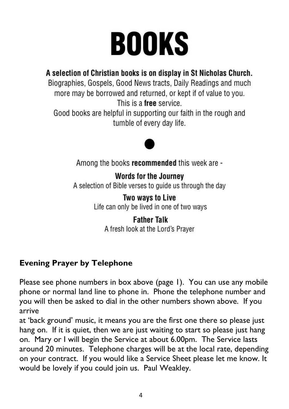# **BOOKS**

#### A selection of Christian books is on display in St Nicholas Church.

Biographies, Gospels, Good News tracts, Daily Readings and much more may be borrowed and returned, or kept if of value to you. This is a free service.

Good books are helpful in supporting our faith in the rough and tumble of every day life.



Among the books recommended this week are -

#### **Words for the Journey**

A selection of Bible verses to quide us through the day

Two ways to Live

Life can only be lived in one of two ways

#### **Father Talk**

A fresh look at the Lord's Prayer

#### **Evening Prayer by Telephone**

Please see phone numbers in box above (page 1). You can use any mobile phone or normal land line to phone in. Phone the telephone number and you will then be asked to dial in the other numbers shown above. If you arrive

at 'back ground' music, it means you are the first one there so please just hang on. If it is quiet, then we are just waiting to start so please just hang on. Mary or I will begin the Service at about 6.00pm. The Service lasts around 20 minutes. Telephone charges will be at the local rate, depending on your contract. If you would like a Service Sheet please let me know. It would be lovely if you could join us. Paul Weakley.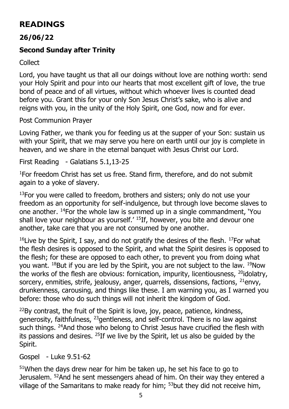#### **READINGS**

#### **26/06/22**

#### **Second Sunday after Trinity**

Collect

Lord, you have taught us that all our doings without love are nothing worth: send your Holy Spirit and pour into our hearts that most excellent gift of love, the true bond of peace and of all virtues, without which whoever lives is counted dead before you. Grant this for your only Son Jesus Christ's sake, who is alive and reigns with you, in the unity of the Holy Spirit, one God, now and for ever.

Post Communion Prayer

Loving Father, we thank you for feeding us at the supper of your Son: sustain us with your Spirit, that we may serve you here on earth until our joy is complete in heaven, and we share in the eternal banquet with Jesus Christ our Lord.

First Reading - Galatians 5.1,13-25

<sup>1</sup>For freedom Christ has set us free. Stand firm, therefore, and do not submit again to a yoke of slavery.

 $13$ For you were called to freedom, brothers and sisters; only do not use your freedom as an opportunity for self-indulgence, but through love become slaves to one another. <sup>14</sup>For the whole law is summed up in a single commandment, 'You shall love your neighbour as yourself.' <sup>15</sup>If, however, you bite and devour one another, take care that you are not consumed by one another.

<sup>16</sup> Live by the Spirit, I say, and do not gratify the desires of the flesh. <sup>17</sup>For what the flesh desires is opposed to the Spirit, and what the Spirit desires is opposed to the flesh; for these are opposed to each other, to prevent you from doing what you want. <sup>18</sup>But if you are led by the Spirit, you are not subject to the law. <sup>19</sup>Now the works of the flesh are obvious: fornication, impurity, licentiousness, <sup>20</sup>idolatry, sorcery, enmities, strife, jealousy, anger, quarrels, dissensions, factions,  $^{21}$ envy, drunkenness, carousing, and things like these. I am warning you, as I warned you before: those who do such things will not inherit the kingdom of God.

 $22$ By contrast, the fruit of the Spirit is love, joy, peace, patience, kindness, generosity, faithfulness, <sup>23</sup>gentleness, and self-control. There is no law against such things. <sup>24</sup>And those who belong to Christ Jesus have crucified the flesh with its passions and desires. <sup>25</sup>If we live by the Spirit, let us also be guided by the Spirit.

Gospel - Luke 9.51-62

 $51$ When the days drew near for him be taken up, he set his face to go to Jerusalem. <sup>52</sup>And he sent messengers ahead of him. On their way they entered a village of the Samaritans to make ready for him; <sup>53</sup>but they did not receive him,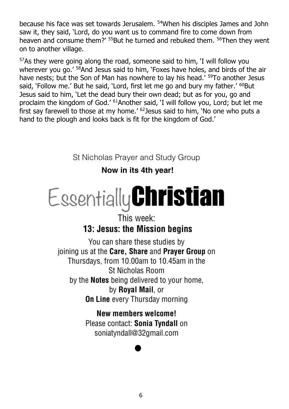because his face was set towards Jerusalem. <sup>54</sup>When his disciples James and John saw it, they said, 'Lord, do you want us to command fire to come down from heaven and consume them?' <sup>55</sup>But he turned and rebuked them. <sup>56</sup>Then they went on to another village.

<sup>57</sup>As they were going along the road, someone said to him, 'I will follow you wherever you go.' <sup>58</sup>And Jesus said to him, 'Foxes have holes, and birds of the air have nests; but the Son of Man has nowhere to lay his head.<sup>' 59</sup>To another Jesus said, 'Follow me.' But he said, 'Lord, first let me go and bury my father.' <sup>60</sup>But Jesus said to him, 'Let the dead bury their own dead; but as for you, go and proclaim the kingdom of God.' <sup>61</sup>Another said, 'I will follow you, Lord; but let me first say farewell to those at my home.'  $62$  lesus said to him. 'No one who puts a hand to the plough and looks back is fit for the kingdom of God.'

St Nicholas Prayer and Study Group

#### Now in its 4th year!

## Essentially **Christian**

#### This week: 13: Jesus: the Mission begins

You can share these studies by joining us at the Care. Share and Praver Group on Thursdays, from 10.00am to 10.45am in the St Nicholas Room by the **Notes** being delivered to your home. by Royal Mail, or **On Line every Thursday morning** 

> New members welcome! Please contact: Sonia Tyndall on soniatyndall@32gmail.com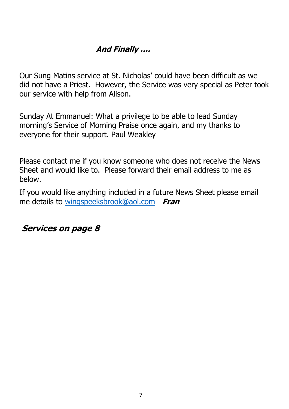#### **And Finally ….**

Our Sung Matins service at St. Nicholas' could have been difficult as we did not have a Priest. However, the Service was very special as Peter took our service with help from Alison.

Sunday At Emmanuel: What a privilege to be able to lead Sunday morning's Service of Morning Praise once again, and my thanks to everyone for their support. Paul Weakley

Please contact me if you know someone who does not receive the News Sheet and would like to. Please forward their email address to me as below.

If you would like anything included in a future News Sheet please email me details to [wingspeeksbrook@aol.com](about:blank) **Fran**

**Services on page 8**